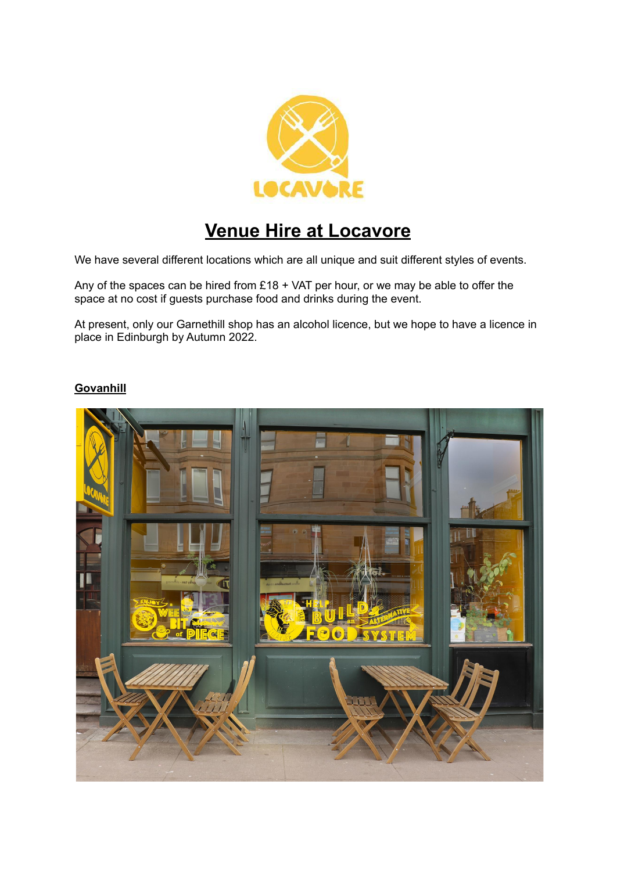

# **Venue Hire at Locavore**

We have several different locations which are all unique and suit different styles of events.

Any of the spaces can be hired from £18 + VAT per hour, or we may be able to offer the space at no cost if guests purchase food and drinks during the event.

At present, only our Garnethill shop has an alcohol licence, but we hope to have a licence in place in Edinburgh by Autumn 2022.

## **Govanhill**

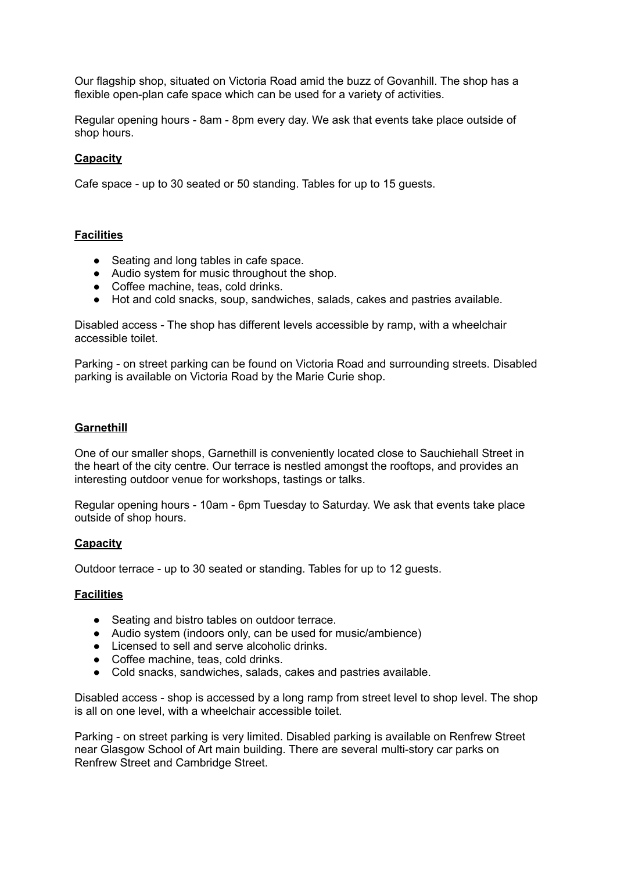Our flagship shop, situated on Victoria Road amid the buzz of Govanhill. The shop has a flexible open-plan cafe space which can be used for a variety of activities.

Regular opening hours - 8am - 8pm every day. We ask that events take place outside of shop hours.

### **Capacity**

Cafe space - up to 30 seated or 50 standing. Tables for up to 15 guests.

#### **Facilities**

- Seating and long tables in cafe space.
- Audio system for music throughout the shop.
- Coffee machine, teas, cold drinks.
- Hot and cold snacks, soup, sandwiches, salads, cakes and pastries available.

Disabled access - The shop has different levels accessible by ramp, with a wheelchair accessible toilet.

Parking - on street parking can be found on Victoria Road and surrounding streets. Disabled parking is available on Victoria Road by the Marie Curie shop.

#### **Garnethill**

One of our smaller shops, Garnethill is conveniently located close to Sauchiehall Street in the heart of the city centre. Our terrace is nestled amongst the rooftops, and provides an interesting outdoor venue for workshops, tastings or talks.

Regular opening hours - 10am - 6pm Tuesday to Saturday. We ask that events take place outside of shop hours.

## **Capacity**

Outdoor terrace - up to 30 seated or standing. Tables for up to 12 guests.

#### **Facilities**

- Seating and bistro tables on outdoor terrace.
- Audio system (indoors only, can be used for music/ambience)
- Licensed to sell and serve alcoholic drinks.
- Coffee machine, teas, cold drinks.
- Cold snacks, sandwiches, salads, cakes and pastries available.

Disabled access - shop is accessed by a long ramp from street level to shop level. The shop is all on one level, with a wheelchair accessible toilet.

Parking - on street parking is very limited. Disabled parking is available on Renfrew Street near Glasgow School of Art main building. There are several multi-story car parks on Renfrew Street and Cambridge Street.